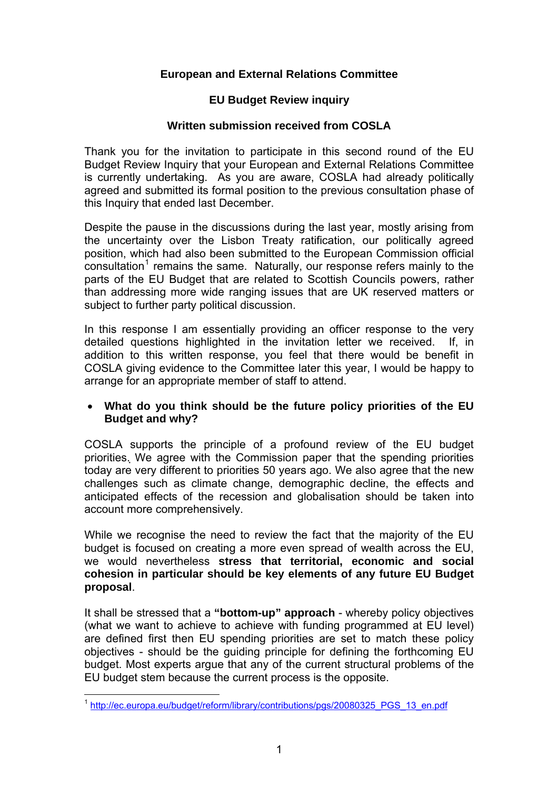# **European and External Relations Committee**

## **EU Budget Review inquiry**

### **Written submission received from COSLA**

Thank you for the invitation to participate in this second round of the EU Budget Review Inquiry that your European and External Relations Committee is currently undertaking. As you are aware, COSLA had already politically agreed and submitted its formal position to the previous consultation phase of this Inquiry that ended last December.

Despite the pause in the discussions during the last year, mostly arising from the uncertainty over the Lisbon Treaty ratification, our politically agreed position, which had also been submitted to the European Commission official  $\overline{\text{c}}$ onsultation<sup>[1](#page-0-0)</sup> remains the same. Naturally, our response refers mainly to the parts of the EU Budget that are related to Scottish Councils powers, rather than addressing more wide ranging issues that are UK reserved matters or subject to further party political discussion.

In this response I am essentially providing an officer response to the very detailed questions highlighted in the invitation letter we received. If, in addition to this written response, you feel that there would be benefit in COSLA giving evidence to the Committee later this year, I would be happy to arrange for an appropriate member of staff to attend.

### • **What do you think should be the future policy priorities of the EU Budget and why?**

COSLA supports the principle of a profound review of the EU budget priorities. We agree with the Commission paper that the spending priorities today are very different to priorities 50 years ago. We also agree that the new challenges such as climate change, demographic decline, the effects and anticipated effects of the recession and globalisation should be taken into account more comprehensively.

While we recognise the need to review the fact that the majority of the EU budget is focused on creating a more even spread of wealth across the EU, we would nevertheless **stress that territorial, economic and social cohesion in particular should be key elements of any future EU Budget proposal**.

It shall be stressed that a **"bottom-up" approach** - whereby policy objectives (what we want to achieve to achieve with funding programmed at EU level) are defined first then EU spending priorities are set to match these policy objectives - should be the guiding principle for defining the forthcoming EU budget. Most experts argue that any of the current structural problems of the EU budget stem because the current process is the opposite.

<span id="page-0-0"></span> $\overline{a}$ <sup>1</sup> [http://ec.europa.eu/budget/reform/library/contributions/pgs/20080325\\_PGS\\_13\\_en.pdf](http://ec.europa.eu/budget/reform/library/contributions/pgs/20080325_PGS_13_en.pdf)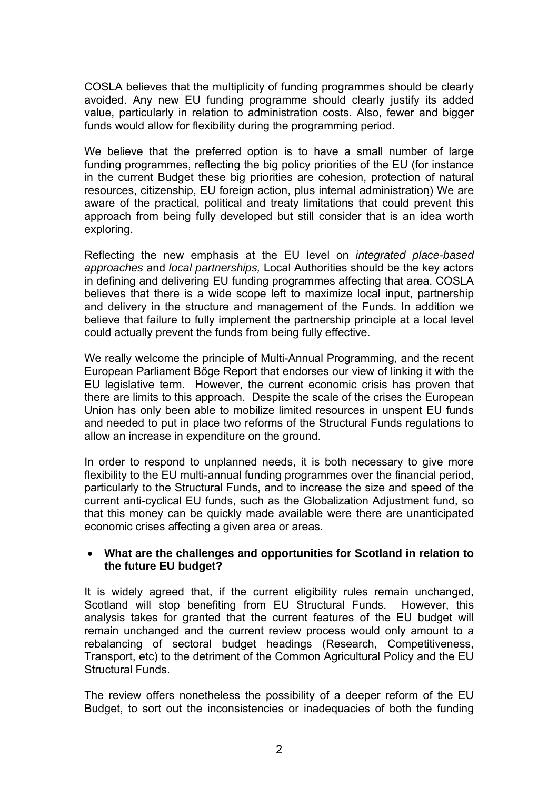COSLA believes that the multiplicity of funding programmes should be clearly avoided. Any new EU funding programme should clearly justify its added value, particularly in relation to administration costs. Also, fewer and bigger funds would allow for flexibility during the programming period.

We believe that the preferred option is to have a small number of large funding programmes, reflecting the big policy priorities of the EU (for instance in the current Budget these big priorities are cohesion, protection of natural resources, citizenship, EU foreign action, plus internal administration) We are aware of the practical, political and treaty limitations that could prevent this approach from being fully developed but still consider that is an idea worth exploring.

Reflecting the new emphasis at the EU level on *integrated place-based approaches* and *local partnerships,* Local Authorities should be the key actors in defining and delivering EU funding programmes affecting that area. COSLA believes that there is a wide scope left to maximize local input, partnership and delivery in the structure and management of the Funds. In addition we believe that failure to fully implement the partnership principle at a local level could actually prevent the funds from being fully effective.

We really welcome the principle of Multi-Annual Programming, and the recent European Parliament Bőge Report that endorses our view of linking it with the EU legislative term. However, the current economic crisis has proven that there are limits to this approach. Despite the scale of the crises the European Union has only been able to mobilize limited resources in unspent EU funds and needed to put in place two reforms of the Structural Funds regulations to allow an increase in expenditure on the ground.

In order to respond to unplanned needs, it is both necessary to give more flexibility to the EU multi-annual funding programmes over the financial period, particularly to the Structural Funds, and to increase the size and speed of the current anti-cyclical EU funds, such as the Globalization Adjustment fund, so that this money can be quickly made available were there are unanticipated economic crises affecting a given area or areas.

#### • **What are the challenges and opportunities for Scotland in relation to the future EU budget?**

It is widely agreed that, if the current eligibility rules remain unchanged, Scotland will stop benefiting from EU Structural Funds. However, this analysis takes for granted that the current features of the EU budget will remain unchanged and the current review process would only amount to a rebalancing of sectoral budget headings (Research, Competitiveness, Transport, etc) to the detriment of the Common Agricultural Policy and the EU Structural Funds.

The review offers nonetheless the possibility of a deeper reform of the EU Budget, to sort out the inconsistencies or inadequacies of both the funding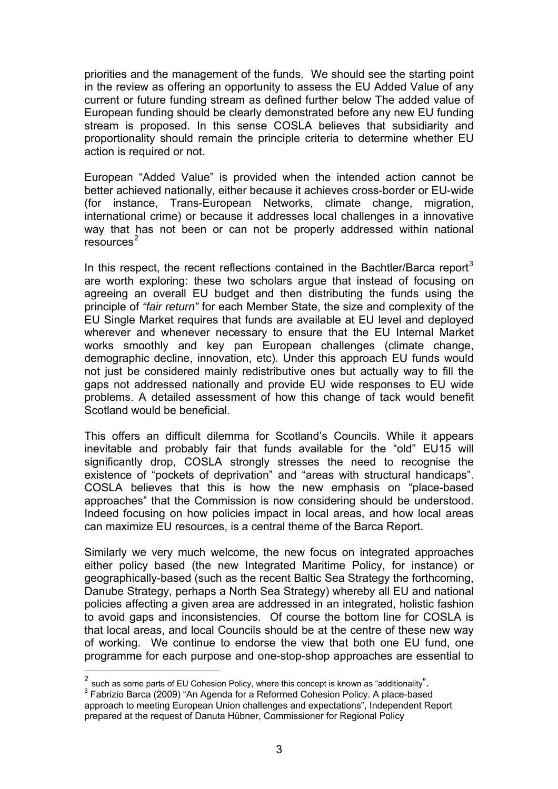priorities and the management of the funds.We should see the starting point in the review as offering an opportunity to assess the EU Added Value of any current or future funding stream as defined further below The added value of European funding should be clearly demonstrated before any new EU funding stream is proposed. In this sense COSLA believes that subsidiarity and proportionality should remain the principle criteria to determine whether EU action is required or not.

European "Added Value" is provided when the intended action cannot be better achieved nationally, either because it achieves cross-border or EU-wide (for instance, Trans-European Networks, climate change, migration, international crime) or because it addresses local challenges in a innovative way that has not been or can not be properly addressed within national resources<sup>[2](#page-2-0)</sup>

In this respect, the recent reflections contained in the Bachtler/Barca report<sup>[3](#page-2-1)</sup> are worth exploring: these two scholars argue that instead of focusing on agreeing an overall EU budget and then distributing the funds using the principle of *"fair return"* for each Member State, the size and complexity of the EU Single Market requires that funds are available at EU level and deployed wherever and whenever necessary to ensure that the EU Internal Market works smoothly and key pan European challenges (climate change, demographic decline, innovation, etc). Under this approach EU funds would not just be considered mainly redistributive ones but actually way to fill the gaps not addressed nationally and provide EU wide responses to EU wide problems. A detailed assessment of how this change of tack would benefit Scotland would be beneficial.

This offers an difficult dilemma for Scotland's Councils. While it appears inevitable and probably fair that funds available for the "old" EU15 will significantly drop, COSLA strongly stresses the need to recognise the existence of "pockets of deprivation" and "areas with structural handicaps". COSLA believes that this is how the new emphasis on "place-based approaches" that the Commission is now considering should be understood. Indeed focusing on how policies impact in local areas, and how local areas can maximize EU resources, is a central theme of the Barca Report.

Similarly we very much welcome, the new focus on integrated approaches either policy based (the new Integrated Maritime Policy, for instance) or geographically-based (such as the recent Baltic Sea Strategy the forthcoming, Danube Strategy, perhaps a North Sea Strategy) whereby all EU and national policies affecting a given area are addressed in an integrated, holistic fashion to avoid gaps and inconsistencies. Of course the bottom line for COSLA is that local areas, and local Councils should be at the centre of these new way of working. We continue to endorse the view that both one EU fund, one programme for each purpose and one-stop-shop approaches are essential to

 $\overline{a}$ 

 $^2$  such as some parts of EU Cohesion Policy, where this concept is known as "additionality".

<span id="page-2-1"></span><span id="page-2-0"></span> $3$  Fabrizio Barca (2009) "An Agenda for a Reformed Cohesion Policy. A place-based approach to meeting European Union challenges and expectations", Independent Report prepared at the request of Danuta Hübner, Commissioner for Regional Policy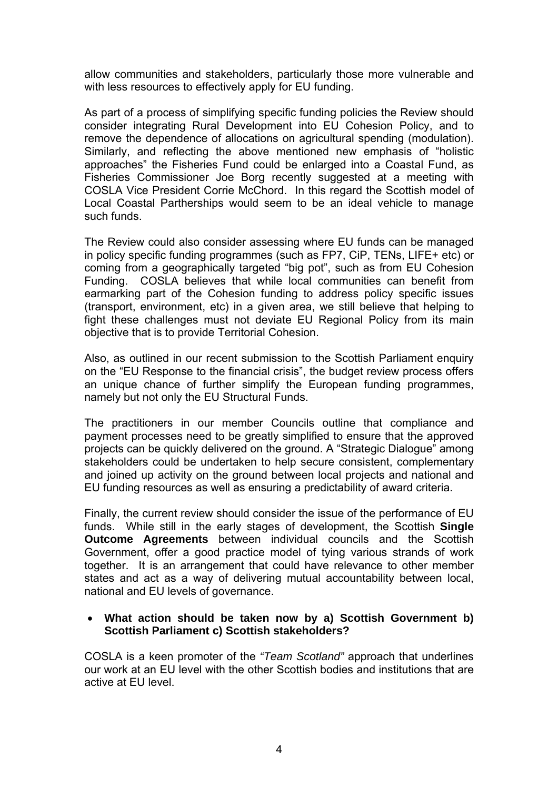allow communities and stakeholders, particularly those more vulnerable and with less resources to effectively apply for EU funding.

As part of a process of simplifying specific funding policies the Review should consider integrating Rural Development into EU Cohesion Policy, and to remove the dependence of allocations on agricultural spending (modulation). Similarly, and reflecting the above mentioned new emphasis of "holistic approaches" the Fisheries Fund could be enlarged into a Coastal Fund, as Fisheries Commissioner Joe Borg recently suggested at a meeting with COSLA Vice President Corrie McChord. In this regard the Scottish model of Local Coastal Partherships would seem to be an ideal vehicle to manage such funds.

The Review could also consider assessing where EU funds can be managed in policy specific funding programmes (such as FP7, CiP, TENs, LIFE+ etc) or coming from a geographically targeted "big pot", such as from EU Cohesion Funding. COSLA believes that while local communities can benefit from earmarking part of the Cohesion funding to address policy specific issues (transport, environment, etc) in a given area, we still believe that helping to fight these challenges must not deviate EU Regional Policy from its main objective that is to provide Territorial Cohesion.

Also, as outlined in our recent submission to the Scottish Parliament enquiry on the "EU Response to the financial crisis", the budget review process offers an unique chance of further simplify the European funding programmes, namely but not only the EU Structural Funds.

The practitioners in our member Councils outline that compliance and payment processes need to be greatly simplified to ensure that the approved projects can be quickly delivered on the ground. A "Strategic Dialogue" among stakeholders could be undertaken to help secure consistent, complementary and joined up activity on the ground between local projects and national and EU funding resources as well as ensuring a predictability of award criteria.

Finally, the current review should consider the issue of the performance of EU funds. While still in the early stages of development, the Scottish **Single Outcome Agreements** between individual councils and the Scottish Government, offer a good practice model of tying various strands of work together. It is an arrangement that could have relevance to other member states and act as a way of delivering mutual accountability between local, national and EU levels of governance.

#### • **What action should be taken now by a) Scottish Government b) Scottish Parliament c) Scottish stakeholders?**

COSLA is a keen promoter of the *"Team Scotland"* approach that underlines our work at an EU level with the other Scottish bodies and institutions that are active at EU level.